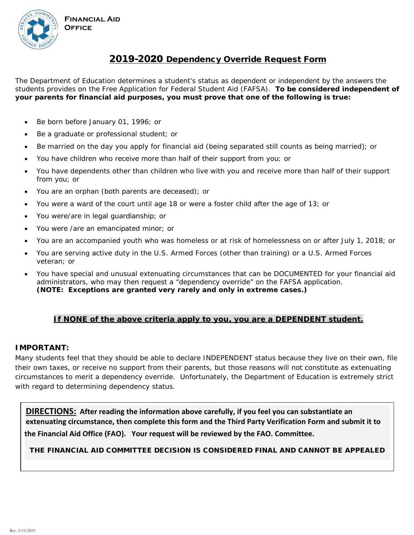



# 2019-2020 Dependency Override Request Form

The Department of Education determines a student's status as dependent or independent by the answers the students provides on the Free Application for Federal Student Aid (FAFSA). **To be considered independent of your parents for financial aid purposes, you must prove that one of the following is true:** 

- Be born before January 01, 1996; or
- Be a graduate or professional student; or
- Be married on the day you apply for financial aid (being separated still counts as being married); or
- You have children who receive more than half of their support from you; or
- You have dependents other than children who live with you and receive more than half of their support from you; or
- You are an orphan (both parents are deceased); or
- You were a ward of the court until age 18 or were a foster child after the age of 13; or
- You were/are in legal guardianship; or
- You were /are an emancipated minor; or
- You are an accompanied youth who was homeless or at risk of homelessness on or after July 1, 2018; or
- You are serving active duty in the U.S. Armed Forces (other than training) or a U.S. Armed Forces veteran; or
- You have special and unusual extenuating circumstances that can be DOCUMENTED for your financial aid administrators, who may then request a "dependency override" on the FAFSA application. **(NOTE: Exceptions are granted very rarely and only in extreme cases.)**

### **If NONE of the above criteria apply to you, you are a DEPENDENT student.**

#### **IMPORTANT:**

Many students feel that they should be able to declare INDEPENDENT status because they live on their own, file their own taxes, or receive no support from their parents, but those reasons will not constitute as extenuating circumstances to merit a dependency override. Unfortunately, the Department of Education is extremely strict with regard to determining dependency status.

**DIRECTIONS: After reading the information above carefully, if you feel you can substantiate an extenuating circumstance, then complete this form and the Third Party Verification Form and submit it to the Financial Aid Office (FAO). Your request will be reviewed by the FAO. Committee.** 

#### THE FINANCIAL AID COMMITTEE DECISION IS CONSIDERED FINAL AND CANNOT BE APPEALED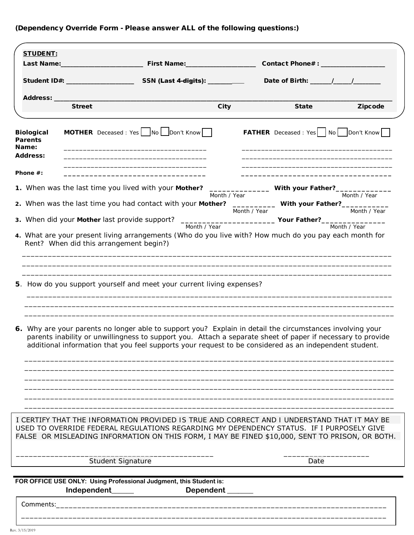## (Dependency Override Form - Please answer ALL of the following questions:)

| <b>STUDENT:</b>                                                 |                                         |                                                                                                                                                                                                                                                                                                                                    |              |              |                                                                                                                                                                                                                               |                                               |
|-----------------------------------------------------------------|-----------------------------------------|------------------------------------------------------------------------------------------------------------------------------------------------------------------------------------------------------------------------------------------------------------------------------------------------------------------------------------|--------------|--------------|-------------------------------------------------------------------------------------------------------------------------------------------------------------------------------------------------------------------------------|-----------------------------------------------|
|                                                                 |                                         |                                                                                                                                                                                                                                                                                                                                    |              |              | Contact Phone# : _______________                                                                                                                                                                                              |                                               |
|                                                                 |                                         |                                                                                                                                                                                                                                                                                                                                    |              |              |                                                                                                                                                                                                                               |                                               |
|                                                                 |                                         |                                                                                                                                                                                                                                                                                                                                    |              |              |                                                                                                                                                                                                                               |                                               |
| Address: ___                                                    |                                         |                                                                                                                                                                                                                                                                                                                                    |              |              |                                                                                                                                                                                                                               |                                               |
|                                                                 | <b>Street</b>                           |                                                                                                                                                                                                                                                                                                                                    | <b>City</b>  |              | <b>State</b>                                                                                                                                                                                                                  | <b>Zipcode</b>                                |
| <b>Biological</b><br><b>Parents</b><br>Name:<br><b>Address:</b> |                                         | <b>MOTHER</b> Deceased : Yes $\log$ No $\log$ Don't Know                                                                                                                                                                                                                                                                           |              |              | the control of the control of the control of the control of the control of the control of the control of the control of the control of the control of the control of the control of the control of the control of the control | <b>FATHER</b> Deceased: Yes   No   Don't Know |
| Phone #:                                                        |                                         |                                                                                                                                                                                                                                                                                                                                    |              |              |                                                                                                                                                                                                                               |                                               |
|                                                                 |                                         |                                                                                                                                                                                                                                                                                                                                    |              |              |                                                                                                                                                                                                                               |                                               |
|                                                                 |                                         | 1. When was the last time you lived with your Mother?                                                                                                                                                                                                                                                                              | Month / Year |              | ___________________ With your Father?_____                                                                                                                                                                                    | Month / Year                                  |
|                                                                 |                                         | 2. When was the last time you had contact with your Mother?                                                                                                                                                                                                                                                                        |              | Month / Year | _____________ With your Father?____                                                                                                                                                                                           | Month / Year                                  |
|                                                                 |                                         | 3. When did your Mother last provide support? ________________________________Your Father?________________                                                                                                                                                                                                                         |              |              |                                                                                                                                                                                                                               |                                               |
|                                                                 | Rent? When did this arrangement begin?) | Month / Year<br>4. What are your present living arrangements (Who do you live with? How much do you pay each month for                                                                                                                                                                                                             |              |              |                                                                                                                                                                                                                               | Month / Year                                  |
|                                                                 |                                         | 5. How do you support yourself and meet your current living expenses?                                                                                                                                                                                                                                                              |              |              |                                                                                                                                                                                                                               |                                               |
|                                                                 |                                         | 6. Why are your parents no longer able to support you? Explain in detail the circumstances involving your<br>parents inability or unwillingness to support you. Attach a separate sheet of paper if necessary to provide<br>additional information that you feel supports your request to be considered as an independent student. |              |              |                                                                                                                                                                                                                               |                                               |
|                                                                 |                                         | I CERTIFY THAT THE INFORMATION PROVIDED IS TRUE AND CORRECT AND I UNDERSTAND THAT IT MAY BE<br>USED TO OVERRIDE FEDERAL REGULATIONS REGARDING MY DEPENDENCY STATUS. IF I PURPOSELY GIVE                                                                                                                                            |              |              |                                                                                                                                                                                                                               |                                               |
|                                                                 |                                         | FALSE OR MISLEADING INFORMATION ON THIS FORM, I MAY BE FINED \$10,000, SENT TO PRISON, OR BOTH.                                                                                                                                                                                                                                    |              |              |                                                                                                                                                                                                                               |                                               |
|                                                                 | <b>Student Signature</b>                |                                                                                                                                                                                                                                                                                                                                    |              |              | Date                                                                                                                                                                                                                          |                                               |

\_\_\_\_\_\_\_\_\_\_\_\_\_\_\_\_\_\_\_\_\_\_\_\_\_\_\_\_\_\_\_\_\_\_\_\_\_\_\_\_\_\_\_\_\_\_\_\_\_\_\_\_\_\_\_\_\_\_\_\_\_\_\_\_\_\_\_\_\_\_\_\_\_\_\_\_\_\_\_\_\_\_\_\_\_

**FOR OFFICE USE ONLY: Using Professional Judgment, this Student is: Independent\_\_\_\_\_\_ Dependent \_\_\_\_\_\_\_** 

Comments:\_\_\_\_\_\_\_\_\_\_\_\_\_\_\_\_\_\_\_\_\_\_\_\_\_\_\_\_\_\_\_\_\_\_\_\_\_\_\_\_\_\_\_\_\_\_\_\_\_\_\_\_\_\_\_\_\_\_\_\_\_\_\_\_\_\_\_\_\_\_\_\_\_\_\_\_\_